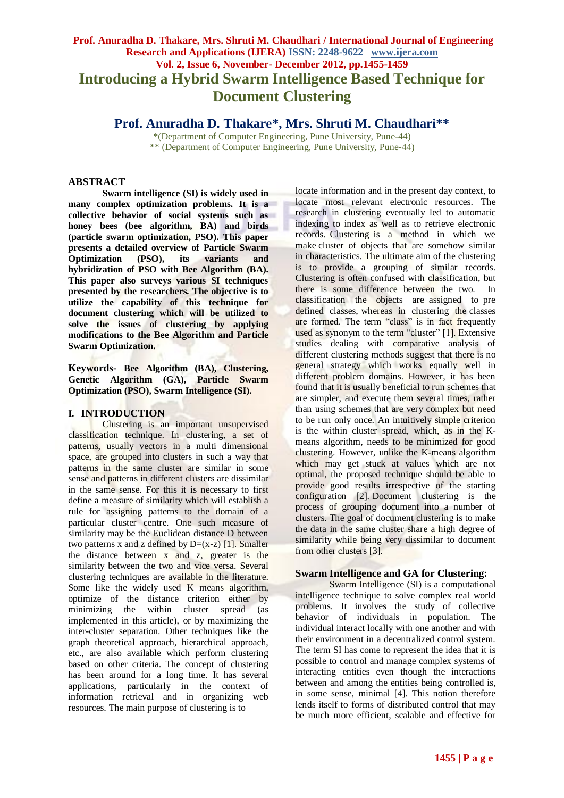# **Prof. Anuradha D. Thakare, Mrs. Shruti M. Chaudhari / International Journal of Engineering Research and Applications (IJERA) ISSN: 2248-9622 www.ijera.com Vol. 2, Issue 6, November- December 2012, pp.1455-1459 Introducing a Hybrid Swarm Intelligence Based Technique for Document Clustering**

**Prof. Anuradha D. Thakare\*, Mrs. Shruti M. Chaudhari\*\***

\*(Department of Computer Engineering, Pune University, Pune-44) \*\* (Department of Computer Engineering, Pune University, Pune-44)

## **ABSTRACT**

**Swarm intelligence (SI) is widely used in many complex optimization problems. It is a collective behavior of social systems such as honey bees (bee algorithm, BA) and birds (particle swarm optimization, PSO). This paper presents a detailed overview of Particle Swarm Optimization (PSO), its variants and hybridization of PSO with Bee Algorithm (BA). This paper also surveys various SI techniques presented by the researchers. The objective is to utilize the capability of this technique for document clustering which will be utilized to solve the issues of clustering by applying modifications to the Bee Algorithm and Particle Swarm Optimization.**

**Keywords- Bee Algorithm (BA), Clustering, Genetic Algorithm (GA), Particle Swarm Optimization (PSO), Swarm Intelligence (SI).**

## **I. INTRODUCTION**

Clustering is an important unsupervised classification technique. In clustering, a set of patterns, usually vectors in a multi dimensional space, are grouped into clusters in such a way that patterns in the same cluster are similar in some sense and patterns in different clusters are dissimilar in the same sense. For this it is necessary to first define a measure of similarity which will establish a rule for assigning patterns to the domain of a particular cluster centre. One such measure of similarity may be the Euclidean distance D between two patterns x and z defined by  $D=(x-z)$  [1]. Smaller the distance between x and z, greater is the similarity between the two and vice versa. Several clustering techniques are available in the literature. Some like the widely used K means algorithm. optimize of the distance criterion either by minimizing the within cluster spread (as implemented in this article), or by maximizing the inter-cluster separation. Other techniques like the graph theoretical approach, hierarchical approach, etc., are also available which perform clustering based on other criteria. The concept of clustering has been around for a long time. It has several applications, particularly in the context of information retrieval and in organizing web resources. The main purpose of clustering is to

locate information and in the present day context, to locate most relevant electronic resources. The research in clustering eventually led to automatic indexing to index as well as to retrieve electronic records. Clustering is a method in which we make cluster of objects that are somehow similar in characteristics. The ultimate aim of the clustering is to provide a grouping of similar records. Clustering is often confused with classification, but there is some difference between the two. In classification the objects are assigned to pre defined classes, whereas in clustering the classes are formed. The term "class" is in fact frequently used as synonym to the term "cluster" [1]. Extensive studies dealing with comparative analysis of different clustering methods suggest that there is no general strategy which works equally well in different problem domains. However, it has been found that it is usually beneficial to run schemes that are simpler, and execute them several times, rather than using schemes that are very complex but need to be run only once. An intuitively simple criterion is the within cluster spread, which, as in the Kmeans algorithm, needs to be minimized for good clustering. However, unlike the K-means algorithm which may get stuck at values which are not optimal, the proposed technique should be able to provide good results irrespective of the starting configuration [2]. Document clustering is the process of grouping document into a number of clusters. The goal of document clustering is to make the data in the same cluster share a high degree of similarity while being very dissimilar to document from other clusters [3].

## **Swarm Intelligence and GA for Clustering:**

Swarm Intelligence (SI) is a computational intelligence technique to solve complex real world problems. It involves the study of collective behavior of individuals in population. The individual interact locally with one another and with their environment in a decentralized control system. The term SI has come to represent the idea that it is possible to control and manage complex systems of interacting entities even though the interactions between and among the entities being controlled is, in some sense, minimal [4]. This notion therefore lends itself to forms of distributed control that may be much more efficient, scalable and effective for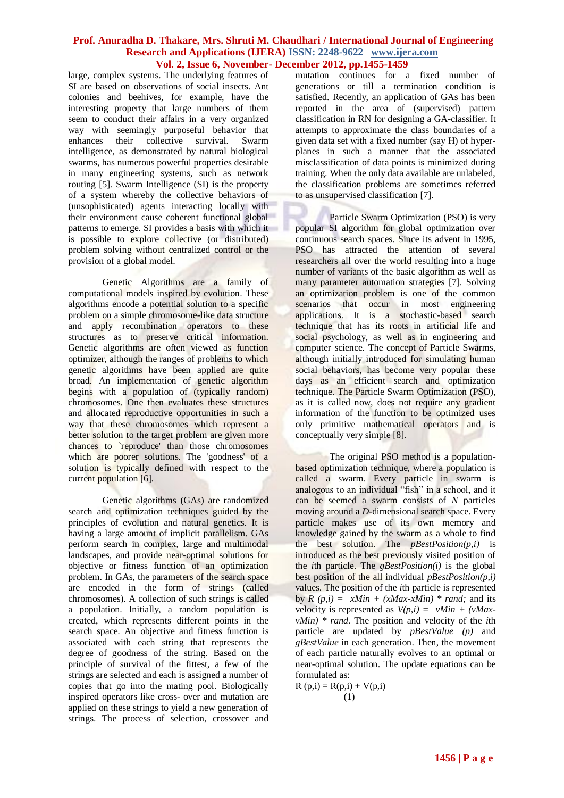large, complex systems. The underlying features of SI are based on observations of social insects. Ant colonies and beehives, for example, have the interesting property that large numbers of them seem to conduct their affairs in a very organized way with seemingly purposeful behavior that enhances their collective survival. Swarm intelligence, as demonstrated by natural biological swarms, has numerous powerful properties desirable in many engineering systems, such as network routing [5]. Swarm Intelligence (SI) is the property of a system whereby the collective behaviors of (unsophisticated) agents interacting locally with their environment cause coherent functional global patterns to emerge. SI provides a basis with which it is possible to explore collective (or distributed) problem solving without centralized control or the provision of a global model.

Genetic Algorithms are a family of computational models inspired by evolution. These algorithms encode a potential solution to a specific problem on a simple chromosome-like data structure and apply recombination operators to these structures as to preserve critical information. Genetic algorithms are often viewed as function optimizer, although the ranges of problems to which genetic algorithms have been applied are quite broad. An implementation of genetic algorithm begins with a population of (typically random) chromosomes. One then evaluates these structures and allocated reproductive opportunities in such a way that these chromosomes which represent a better solution to the target problem are given more chances to `reproduce' than those chromosomes which are poorer solutions. The 'goodness' of a solution is typically defined with respect to the current population [6].

Genetic algorithms (GAs) are randomized search and optimization techniques guided by the principles of evolution and natural genetics. It is having a large amount of implicit parallelism. GAs perform search in complex, large and multimodal landscapes, and provide near-optimal solutions for objective or fitness function of an optimization problem. In GAs, the parameters of the search space are encoded in the form of strings (called chromosomes). A collection of such strings is called a population. Initially, a random population is created, which represents different points in the search space. An objective and fitness function is associated with each string that represents the degree of goodness of the string. Based on the principle of survival of the fittest, a few of the strings are selected and each is assigned a number of copies that go into the mating pool. Biologically inspired operators like cross- over and mutation are applied on these strings to yield a new generation of strings. The process of selection, crossover and

mutation continues for a fixed number of generations or till a termination condition is satisfied. Recently, an application of GAs has been reported in the area of (supervised) pattern classification in RN for designing a GA-classifier. It attempts to approximate the class boundaries of a given data set with a fixed number (say H) of hyperplanes in such a manner that the associated misclassification of data points is minimized during training. When the only data available are unlabeled, the classification problems are sometimes referred to as unsupervised classification [7].

Particle Swarm Optimization (PSO) is very popular SI algorithm for global optimization over continuous search spaces. Since its advent in 1995, PSO has attracted the attention of several researchers all over the world resulting into a huge number of variants of the basic algorithm as well as many parameter automation strategies [7]. Solving an optimization problem is one of the common scenarios that occur in most engineering applications. It is a stochastic-based search technique that has its roots in artificial life and social psychology, as well as in engineering and computer science. The concept of Particle Swarms, although initially introduced for simulating human social behaviors, has become very popular these days as an efficient search and optimization technique. The Particle Swarm Optimization (PSO), as it is called now, does not require any gradient information of the function to be optimized uses only primitive mathematical operators and is conceptually very simple [8].

The original PSO method is a populationbased optimization technique, where a population is called a swarm. Every particle in swarm is analogous to an individual "fish" in a school, and it can be seemed a swarm consists of *N* particles moving around a *D*-dimensional search space. Every particle makes use of its own memory and knowledge gained by the swarm as a whole to find the best solution. The *pBestPosition(p,i)* is introduced as the best previously visited position of the *i*th particle. The *gBestPosition(i)* is the global best position of the all individual *pBestPosition(p,i)*  values. The position of the *i*th particle is represented by  $R$  (*p,i*) =  $xMin + (xMax-xMin) * rand$ ; and its velocity is represented as  $V(p,i) = vMin + (vMax$ *vMin) \* rand*. The position and velocity of the *i*th particle are updated by *pBestValue (p)* and *gBestValue* in each generation. Then, the movement of each particle naturally evolves to an optimal or near-optimal solution. The update equations can be formulated as:

$$
R (p,i) = R(p,i) + V(p,i)
$$
  
(1)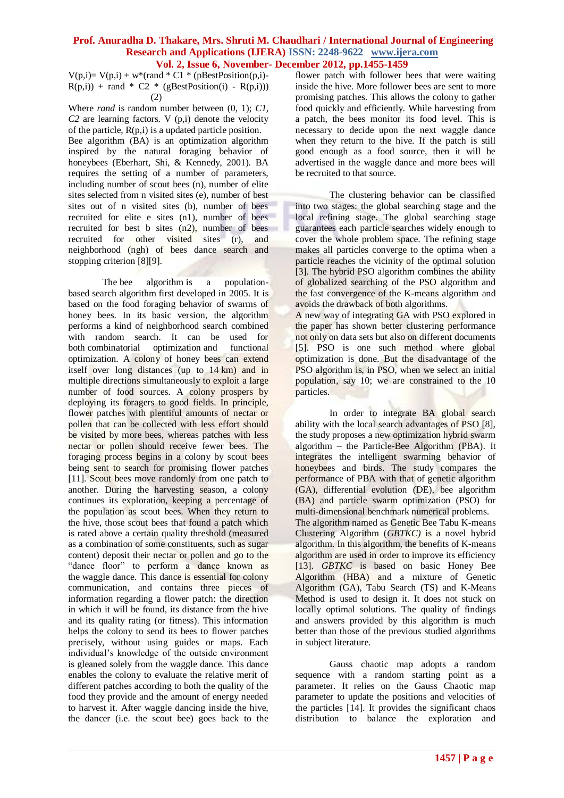$V(p,i)= V(p,i) + w^*(rand * C1 * (pBestPosition(p,i) R(p,i)$  + rand \* C2 \* (gBestPosition(i) -  $R(p,i)$ )) (2)

Where *rand* is random number between (0, 1); *C1,*   $C2$  are learning factors. V  $(p,i)$  denote the velocity of the particle,  $R(p,i)$  is a updated particle position. Bee algorithm (BA) is an optimization algorithm inspired by the natural foraging behavior of honeybees (Eberhart, Shi, & Kennedy, 2001). BA requires the setting of a number of parameters, including number of scout bees (n), number of elite sites selected from n visited sites (e), number of best sites out of n visited sites (b), number of bees recruited for elite e sites (n1), number of bees recruited for best b sites (n2), number of bees recruited for other visited sites (r), and neighborhood (ngh) of bees dance search and stopping criterion [8][9].

The bee algorithm is a populationbased [search algorithm](http://en.wikipedia.org/wiki/Search_algorithm) first developed in 2005. It is based on the food foraging behavior of swarms of honey bees. In its basic version, the algorithm performs a kind of neighborhood search combined with random search. It can be used for both [combinatorial optimization](http://en.wikipedia.org/wiki/Combinatorial_optimization) and functional optimization. A colony of honey bees can extend itself over long distances (up to 14 km) and in multiple directions simultaneously to exploit a large number of food sources. A colony prospers by deploying its foragers to good fields. In principle, flower patches with plentiful amounts of nectar or pollen that can be collected with less effort should be visited by more bees, whereas patches with less nectar or pollen should receive fewer bees. The foraging process begins in a colony by scout bees being sent to search for promising flower patches [11]. Scout bees move randomly from one patch to another. During the harvesting season, a colony continues its exploration, keeping a percentage of the population as scout bees. When they return to the hive, those scout bees that found a patch which is rated above a certain quality threshold (measured as a combination of some constituents, such as sugar content) deposit their nectar or pollen and go to the "dance floor" to perform a dance known as the [waggle dance.](http://en.wikipedia.org/wiki/Waggle_dance) This dance is essential for colony communication, and contains three pieces of information regarding a flower patch: the direction in which it will be found, its distance from the hive and its quality rating (or fitness). This information helps the colony to send its bees to flower patches precisely, without using guides or maps. Each individual's knowledge of the outside environment is gleaned solely from the waggle dance. This dance enables the colony to evaluate the relative merit of different patches according to both the quality of the food they provide and the amount of energy needed to harvest it. After waggle dancing inside the hive, the dancer (i.e. the scout bee) goes back to the

flower patch with follower bees that were waiting inside the hive. More follower bees are sent to more promising patches. This allows the colony to gather food quickly and efficiently. While harvesting from a patch, the bees monitor its food level. This is necessary to decide upon the next waggle dance when they return to the hive. If the patch is still good enough as a food source, then it will be advertised in the waggle dance and more bees will be recruited to that source.

The clustering behavior can be classified into two stages: the global searching stage and the local refining stage. The global searching stage guarantees each particle searches widely enough to cover the whole problem space. The refining stage makes all particles converge to the optima when a particle reaches the vicinity of the optimal solution [3]. The hybrid PSO algorithm combines the ability of globalized searching of the PSO algorithm and the fast convergence of the K-means algorithm and avoids the drawback of both algorithms.

A new way of integrating GA with PSO explored in the paper has shown better clustering performance not only on data sets but also on different documents [5]. PSO is one such method where global optimization is done. But the disadvantage of the PSO algorithm is, in PSO, when we select an initial population, say 10; we are constrained to the 10 particles.

In order to integrate BA global search ability with the local search advantages of PSO [8], the study proposes a new optimization hybrid swarm algorithm – the Particle-Bee Algorithm (PBA). It integrates the intelligent swarming behavior of honeybees and birds. The study compares the performance of PBA with that of genetic algorithm (GA), differential evolution (DE), bee algorithm (BA) and particle swarm optimization (PSO) for multi-dimensional benchmark numerical problems. The algorithm named as Genetic Bee Tabu K-means Clustering Algorithm (*GBTKC)* is a novel hybrid algorithm. In this algorithm, the benefits of K-means algorithm are used in order to improve its efficiency [13]. *GBTKC* is based on basic Honey Bee Algorithm (HBA) and a mixture of Genetic Algorithm (GA), Tabu Search (TS) and K-Means Method is used to design it. It does not stuck on locally optimal solutions. The quality of findings and answers provided by this algorithm is much better than those of the previous studied algorithms in subject literature.

Gauss chaotic map adopts a random sequence with a random starting point as a parameter. It relies on the Gauss Chaotic map parameter to update the positions and velocities of the particles [14]. It provides the significant chaos distribution to balance the exploration and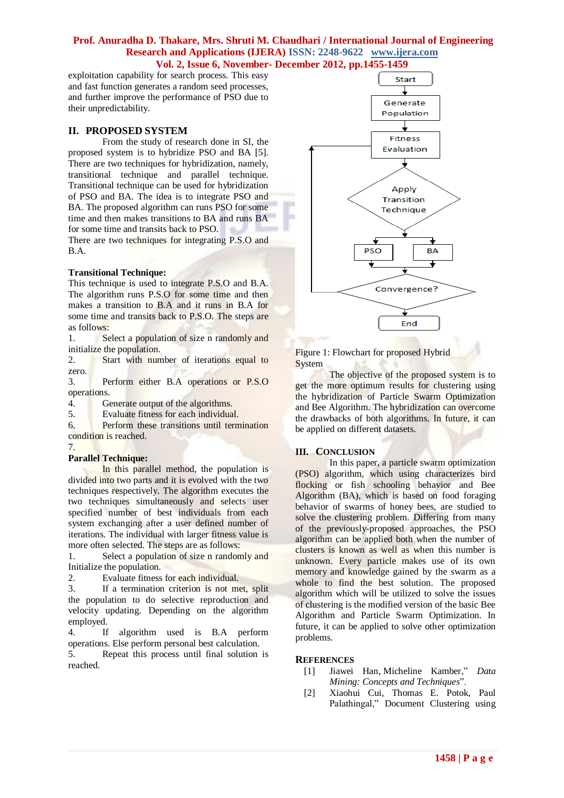exploitation capability for search process. This easy and fast function generates a random seed processes, and further improve the performance of PSO due to their unpredictability.

### **II. PROPOSED SYSTEM**

From the study of research done in SI, the proposed system is to hybridize PSO and BA [5]. There are two techniques for hybridization, namely, transitional technique and parallel technique. Transitional technique can be used for hybridization of PSO and BA. The idea is to integrate PSO and BA. The proposed algorithm can runs PSO for some time and then makes transitions to BA and runs BA for some time and transits back to PSO.

There are two techniques for integrating P.S.O and B.A.

#### **Transitional Technique:**

This technique is used to integrate P.S.O and B.A. The algorithm runs P.S.O for some time and then makes a transition to B.A and it runs in B.A for some time and transits back to P.S.O. The steps are as follows:

1. Select a population of size n randomly and initialize the population.

2. Start with number of iterations equal to zero.

3. Perform either B.A operations or P.S.O operations.

4. Generate output of the algorithms.

5. Evaluate fitness for each individual.

6. Perform these transitions until termination condition is reached.

7.

#### **Parallel Technique:**

In this parallel method, the population is divided into two parts and it is evolved with the two techniques respectively. The algorithm executes the two techniques simultaneously and selects user specified number of best individuals from each system exchanging after a user defined number of iterations. The individual with larger fitness value is more often selected. The steps are as follows:

1. Select a population of size n randomly and Initialize the population.

2. Evaluate fitness for each individual.

3. If a termination criterion is not met, split the population to do selective reproduction and velocity updating. Depending on the algorithm employed.

4. If algorithm used is B.A perform operations. Else perform personal best calculation.

5. Repeat this process until final solution is reached.



Figure 1: Flowchart for proposed Hybrid **System** 

The objective of the proposed system is to get the more optimum results for clustering using the hybridization of Particle Swarm Optimization and Bee Algorithm. The hybridization can overcome the drawbacks of both algorithms. In future, it can be applied on different datasets.

## **III. CONCLUSION**

In this paper, a particle swarm optimization (PSO) algorithm, which using characterizes bird flocking or fish schooling behavior and Bee Algorithm (BA), which is based on food foraging behavior of swarms of honey bees, are studied to solve the clustering problem. Differing from many of the previously-proposed approaches, the PSO algorithm can be applied both when the number of clusters is known as well as when this number is unknown. Every particle makes use of its own memory and knowledge gained by the swarm as a whole to find the best solution. The proposed algorithm which will be utilized to solve the issues of clustering is the modified version of the basic Bee Algorithm and Particle Swarm Optimization. In future, it can be applied to solve other optimization problems.

## **REFERENCES**

- [1] [Jiawei Han,](http://www.google.sk/search?hl=sk&tbo=p&tbm=bks&q=inauthor:%22Jiawei+Han%22) [Micheline Kamber,](http://www.google.sk/search?hl=sk&tbo=p&tbm=bks&q=inauthor:%22Micheline+Kamber%22)" *Data Mining: Concepts and Techniques*".
- [2] Xiaohui Cui, Thomas E. Potok, Paul Palathingal," Document Clustering using